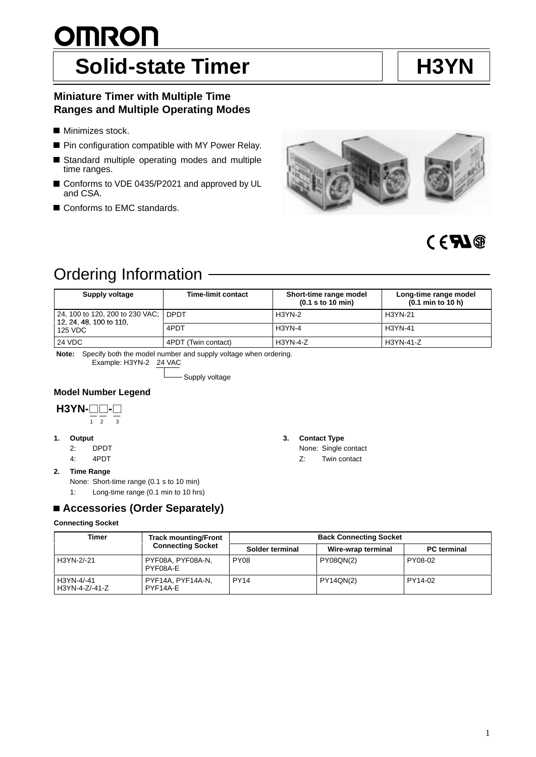#### 1

# **OMRON Solid-state Timer H3YN**

# **Miniature Timer with Multiple Time Ranges and Multiple Operating Modes**

- **Minimizes stock.**
- **Pin configuration compatible with MY Power Relay.**
- Standard multiple operating modes and multiple time ranges.
- Conforms to VDE 0435/P2021 and approved by UL and CSA.
- Conforms to EMC standards.

| Ordering Information                                            |                           |                                             |                                            |
|-----------------------------------------------------------------|---------------------------|---------------------------------------------|--------------------------------------------|
|                                                                 |                           |                                             |                                            |
| Supply voltage                                                  | <b>Time-limit contact</b> | Short-time range model<br>(0.1 s to 10 min) | Long-time range model<br>(0.1 min to 10 h) |
| 24, 100 to 120, 200 to 230 VAC; DPDT<br>12, 24, 48, 100 to 110, |                           | $H3YN-2$                                    | H3YN-21                                    |
| 125 VDC                                                         | 4PDT                      | $H3YN-4$                                    | H3YN-41                                    |
| 24 VDC                                                          | 4PDT (Twin contact)       | <b>H3YN-4-Z</b>                             | H3YN-41-Z                                  |

**Note:** Specify both the model number and supply voltage when ordering.

Example: H3YN-2 24 VAC

- Supply voltage

# **Model Number Legend**

H3YN-
$$
\frac{\square}{\frac{1}{2}}
$$

**1. Output**

- 2: DPDT
- 4: 4PDT

## **2. Time Range**

None: Short-time range (0.1 s to 10 min)

1: Long-time range (0.1 min to 10 hrs)

# **Accessories (Order Separately)**

### **Connecting Socket**

#### **Timer Track mounting/Front Connecting Socket Back Connecting Socket Connecting Socket Solder terminal Wire-wrap terminal PC terminal** H3YN-2/-21 PYF08A, PYF08A-N, PYF08A-E PY08 PY08QN(2) PY08-02 H3YN-4/-41 H3YN-4-Z/-41-Z PYF14A, PYF14A-N, PYF14A-E PY14 PY14QN(2) PY14-02

### **3. Contact Type**

- None: Single contact
- Z: Twin contact

**CERN®**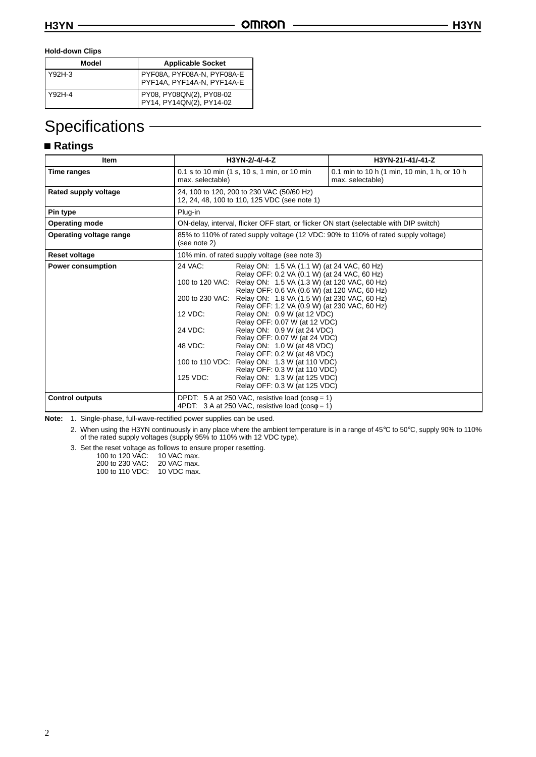#### **Hold-down Clips**

| Model  | <b>Applicable Socket</b>                                   |
|--------|------------------------------------------------------------|
| Y92H-3 | PYF08A, PYF08A-N, PYF08A-E<br>  PYF14A, PYF14A-N, PYF14A-E |
| Y92H-4 | PY08, PY08QN(2), PY08-02<br>PY14, PY14QN(2), PY14-02       |

# **Specifications**

# **Ratings**

| Item                     | H3YN-2/-4/-4-Z                                                                                                                                                                                                                                                                                                                                                                                                                                                                                                                                                                                                                                                                                                                               |  | H3YN-21/-41/-41-Z                                                                       |
|--------------------------|----------------------------------------------------------------------------------------------------------------------------------------------------------------------------------------------------------------------------------------------------------------------------------------------------------------------------------------------------------------------------------------------------------------------------------------------------------------------------------------------------------------------------------------------------------------------------------------------------------------------------------------------------------------------------------------------------------------------------------------------|--|-----------------------------------------------------------------------------------------|
| Time ranges              | 0.1 s to 10 min (1 s, 10 s, 1 min, or 10 min<br>max. selectable)                                                                                                                                                                                                                                                                                                                                                                                                                                                                                                                                                                                                                                                                             |  | 0.1 min to 10 h (1 min, 10 min, 1 h, or 10 h<br>max. selectable)                        |
| Rated supply voltage     | 24, 100 to 120, 200 to 230 VAC (50/60 Hz)<br>12, 24, 48, 100 to 110, 125 VDC (see note 1)                                                                                                                                                                                                                                                                                                                                                                                                                                                                                                                                                                                                                                                    |  |                                                                                         |
| Pin type                 | Plug-in                                                                                                                                                                                                                                                                                                                                                                                                                                                                                                                                                                                                                                                                                                                                      |  |                                                                                         |
| <b>Operating mode</b>    |                                                                                                                                                                                                                                                                                                                                                                                                                                                                                                                                                                                                                                                                                                                                              |  | ON-delay, interval, flicker OFF start, or flicker ON start (selectable with DIP switch) |
| Operating voltage range  | 85% to 110% of rated supply voltage (12 VDC: 90% to 110% of rated supply voltage)<br>(see note 2)                                                                                                                                                                                                                                                                                                                                                                                                                                                                                                                                                                                                                                            |  |                                                                                         |
| Reset voltage            | 10% min. of rated supply voltage (see note 3)                                                                                                                                                                                                                                                                                                                                                                                                                                                                                                                                                                                                                                                                                                |  |                                                                                         |
| <b>Power consumption</b> | 24 VAC:<br>Relay ON: 1.5 VA (1.1 W) (at 24 VAC, 60 Hz)<br>Relay OFF: 0.2 VA (0.1 W) (at 24 VAC, 60 Hz)<br>100 to 120 VAC:<br>Relay ON: 1.5 VA (1.3 W) (at 120 VAC, 60 Hz)<br>Relay OFF: 0.6 VA (0.6 W) (at 120 VAC, 60 Hz)<br>200 to 230 VAC: Relay ON: 1.8 VA (1.5 W) (at 230 VAC, 60 Hz)<br>Relay OFF: 1.2 VA (0.9 W) (at 230 VAC, 60 Hz)<br>12 VDC:<br>Relay ON: 0.9 W (at 12 VDC)<br>Relay OFF: 0.07 W (at 12 VDC)<br>24 VDC:<br>Relay ON: 0.9 W (at 24 VDC)<br>Relay OFF: 0.07 W (at 24 VDC)<br>48 VDC:<br>Relay ON: 1.0 W (at 48 VDC)<br>Relay OFF: 0.2 W (at 48 VDC)<br>100 to 110 VDC:<br>Relay ON: 1.3 W (at 110 VDC)<br>Relay OFF: 0.3 W (at 110 VDC)<br>125 VDC:<br>Relay ON: 1.3 W (at 125 VDC)<br>Relay OFF: 0.3 W (at 125 VDC) |  |                                                                                         |
| <b>Control outputs</b>   | DPDT: 5 A at 250 VAC, resistive load ( $cos\phi = 1$ )<br>4PDT: $3 A at 250 VAC$ , resistive load (coso = 1)                                                                                                                                                                                                                                                                                                                                                                                                                                                                                                                                                                                                                                 |  |                                                                                         |

**Note:** 1. Single-phase, full-wave-rectified power supplies can be used.

2. When using the H3YN continuously in any place where the ambient temperature is in a range of 45°C to 50°C, supply 90% to 110% of the rated supply voltages (supply 95% to 110% with 12 VDC type).

3. Set the reset voltage as follows to ensure proper resetting.

100 to 120 VAC: 10 VAC max. 200 to 230 VAC: 20 VAC max. 100 to 110 VDC: 10 VDC max.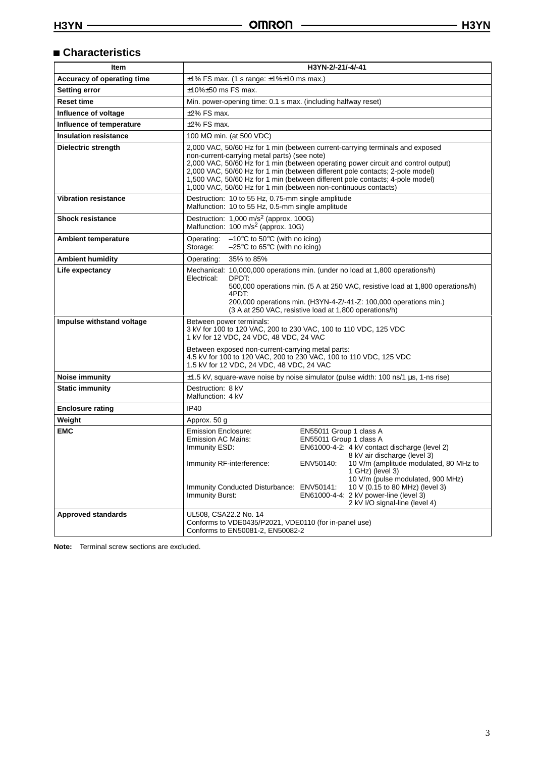## **Characteristics**

| Item                         | H3YN-2/-21/-4/-41                                                                                                                                                                                                                                                                                                                                                                                                                                                                                                                           |  |  |
|------------------------------|---------------------------------------------------------------------------------------------------------------------------------------------------------------------------------------------------------------------------------------------------------------------------------------------------------------------------------------------------------------------------------------------------------------------------------------------------------------------------------------------------------------------------------------------|--|--|
| Accuracy of operating time   | $\pm$ 1% FS max. (1 s range: $\pm$ 1% $\pm$ 10 ms max.)                                                                                                                                                                                                                                                                                                                                                                                                                                                                                     |  |  |
| Setting error                | $±10\%±50$ ms FS max.                                                                                                                                                                                                                                                                                                                                                                                                                                                                                                                       |  |  |
| <b>Reset time</b>            | Min. power-opening time: 0.1 s max. (including halfway reset)                                                                                                                                                                                                                                                                                                                                                                                                                                                                               |  |  |
| Influence of voltage         | $±2\%$ FS max.                                                                                                                                                                                                                                                                                                                                                                                                                                                                                                                              |  |  |
| Influence of temperature     | $±2\%$ FS max.                                                                                                                                                                                                                                                                                                                                                                                                                                                                                                                              |  |  |
| <b>Insulation resistance</b> | 100 $\text{M}\Omega$ min. (at 500 VDC)                                                                                                                                                                                                                                                                                                                                                                                                                                                                                                      |  |  |
| Dielectric strength          | 2,000 VAC, 50/60 Hz for 1 min (between current-carrying terminals and exposed<br>non-current-carrying metal parts) (see note)<br>2,000 VAC, 50/60 Hz for 1 min (between operating power circuit and control output)<br>2,000 VAC, 50/60 Hz for 1 min (between different pole contacts; 2-pole model)<br>1,500 VAC, 50/60 Hz for 1 min (between different pole contacts; 4-pole model)<br>1,000 VAC, 50/60 Hz for 1 min (between non-continuous contacts)                                                                                    |  |  |
| <b>Vibration resistance</b>  | Destruction: 10 to 55 Hz, 0.75-mm single amplitude<br>Malfunction: 10 to 55 Hz, 0.5-mm single amplitude                                                                                                                                                                                                                                                                                                                                                                                                                                     |  |  |
| <b>Shock resistance</b>      | Destruction: 1,000 m/s <sup>2</sup> (approx. 100G)<br>Malfunction: 100 m/s <sup>2</sup> (approx. 10G)                                                                                                                                                                                                                                                                                                                                                                                                                                       |  |  |
| <b>Ambient temperature</b>   | $-10^{\circ}$ C to 50 $^{\circ}$ C (with no icing)<br>Operating:<br>Storage:<br>$-25^{\circ}$ C to 65 $^{\circ}$ C (with no icing)                                                                                                                                                                                                                                                                                                                                                                                                          |  |  |
| <b>Ambient humidity</b>      | 35% to 85%<br>Operating:                                                                                                                                                                                                                                                                                                                                                                                                                                                                                                                    |  |  |
| Life expectancy              | Mechanical: 10,000,000 operations min. (under no load at 1,800 operations/h)<br>DPDT:<br>Electrical:<br>500,000 operations min. (5 A at 250 VAC, resistive load at 1,800 operations/h)<br>4PDT:<br>200,000 operations min. (H3YN-4-Z/-41-Z: 100,000 operations min.)<br>(3 A at 250 VAC, resistive load at 1,800 operations/h)                                                                                                                                                                                                              |  |  |
| Impulse withstand voltage    | Between power terminals:<br>3 kV for 100 to 120 VAC, 200 to 230 VAC, 100 to 110 VDC, 125 VDC<br>1 kV for 12 VDC, 24 VDC, 48 VDC, 24 VAC<br>Between exposed non-current-carrying metal parts:<br>4.5 kV for 100 to 120 VAC, 200 to 230 VAC, 100 to 110 VDC, 125 VDC<br>1.5 kV for 12 VDC, 24 VDC, 48 VDC, 24 VAC                                                                                                                                                                                                                             |  |  |
| Noise immunity               | $\pm$ 1.5 kV, square-wave noise by noise simulator (pulse width: 100 ns/1 µs, 1-ns rise)                                                                                                                                                                                                                                                                                                                                                                                                                                                    |  |  |
| <b>Static immunity</b>       | Destruction: 8 kV<br>Malfunction: 4 kV                                                                                                                                                                                                                                                                                                                                                                                                                                                                                                      |  |  |
| <b>Enclosure rating</b>      | <b>IP40</b>                                                                                                                                                                                                                                                                                                                                                                                                                                                                                                                                 |  |  |
| Weight                       | Approx. 50 g                                                                                                                                                                                                                                                                                                                                                                                                                                                                                                                                |  |  |
| <b>EMC</b>                   | <b>Emission Enclosure:</b><br>EN55011 Group 1 class A<br><b>Emission AC Mains:</b><br>EN55011 Group 1 class A<br>EN61000-4-2: 4 kV contact discharge (level 2)<br>Immunity ESD:<br>8 kV air discharge (level 3)<br>10 V/m (amplitude modulated, 80 MHz to<br>Immunity RF-interference:<br>ENV50140:<br>1 GHz) (level 3)<br>10 V/m (pulse modulated, 900 MHz)<br>10 V (0.15 to 80 MHz) (level 3)<br>Immunity Conducted Disturbance: ENV50141:<br>Immunity Burst:<br>EN61000-4-4: 2 kV power-line (level 3)<br>2 kV I/O signal-line (level 4) |  |  |
| <b>Approved standards</b>    | UL508, CSA22.2 No. 14<br>Conforms to VDE0435/P2021, VDE0110 (for in-panel use)<br>Conforms to EN50081-2, EN50082-2                                                                                                                                                                                                                                                                                                                                                                                                                          |  |  |

**Note:** Terminal screw sections are excluded.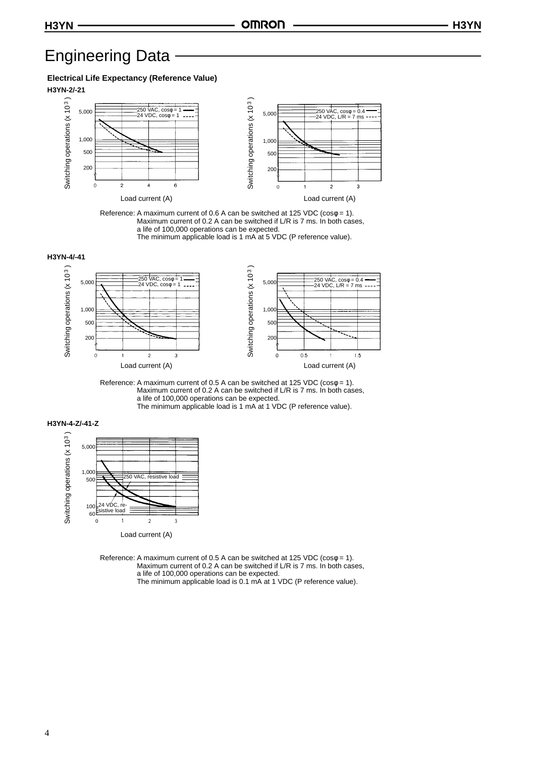# Engineering Data

#### **Electrical Life Expectancy (Reference Value)**



Reference: A maximum current of 0.6 A can be switched at 125 VDC ( $cos\phi = 1$ ). Maximum current of 0.2 A can be switched if L/R is 7 ms. In both cases, a life of 100,000 operations can be expected. The minimum applicable load is 1 mA at 5 VDC (P reference value).











Reference: A maximum current of 0.5 A can be switched at 125 VDC ( $cos\phi = 1$ ). Maximum current of 0.2 A can be switched if L/R is 7 ms. In both cases, a life of 100,000 operations can be expected. The minimum applicable load is 0.1 mA at 1 VDC (P reference value).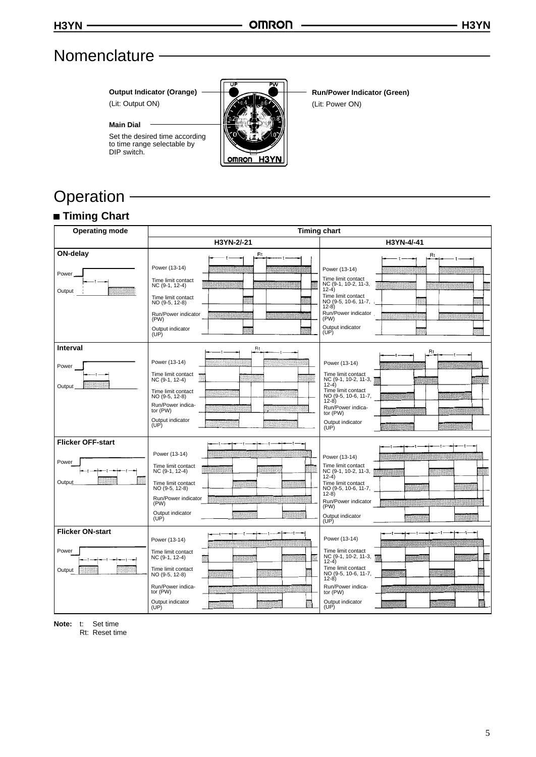# **Nomenclature**

**Output Indicator (Orange)** (Lit: Output ON)

Set the desired time according to time range selectable by

**Main Dial**

DIP switch.



**Run/Power Indicator (Green)** (Lit: Power ON)

# Operation - **Timing Chart**

| <b>Operating mode</b>    | <b>Timing chart</b>                  |                                                         |
|--------------------------|--------------------------------------|---------------------------------------------------------|
|                          | H3YN-2/-21                           | H3YN-4/-41                                              |
| ON-delay                 | Rt                                   | Rt                                                      |
| Power.                   | Power (13-14)<br>Time limit contact  | Power (13-14)<br>Time limit contact                     |
| Output                   | NC (9-1, 12-4)<br>Time limit contact | NC (9-1, 10-2, 11-3,<br>$12-4)$<br>Time limit contact   |
|                          | NO (9-5, 12-8)                       | NO (9-5, 10-6, 11-7,<br>$12-8$                          |
|                          | Run/Power indicator<br>(PW)          | Run/Power indicator<br>(PW)                             |
|                          | Output indicator<br>(UP)             | Output indicator<br>(UP)                                |
| Interval                 | Rt                                   | Rt                                                      |
| Power                    | Power (13-14)                        | Power (13-14)                                           |
| Output                   | Time limit contact<br>NC (9-1, 12-4) | Time limit contact<br>NC (9-1, 10-2, 11-3, 下<br>$12-4)$ |
|                          | Time limit contact<br>NO (9-5, 12-8) | Time limit contact<br>NO (9-5, 10-6, 11-7,<br>$12-8)$   |
|                          | Run/Power indica-<br>tor (PW)        | Run/Power indica-<br>tor $(PW)$                         |
|                          | Output indicator<br>(UP)             | Output indicator<br>(UP)                                |
| <b>Flicker OFF-start</b> |                                      |                                                         |
| Power                    | Power (13-14)                        | Power (13-14)                                           |
|                          | Time limit contact<br>NC (9-1, 12-4) | Time limit contact<br>NC (9-1, 10-2, 11-3,<br>$12-4)$   |
| Output                   | Time limit contact<br>NO (9-5, 12-8) | Time limit contact<br>NO (9-5, 10-6, 11-7,              |
|                          | Run/Power indicator<br>(PW)          | $(12-8)$<br>Run/Power indicator<br>(PW)                 |
|                          | Output indicator<br>(UP)             | Output indicator<br>(UP)                                |
| <b>Flicker ON-start</b>  |                                      | Power (13-14)                                           |
| Power                    | Power (13-14)<br>Time limit contact  | Time limit contact                                      |
|                          | NC (9-1, 12-4)                       | NC (9-1, 10-2, 11-3, \$<br>$12-4)$                      |
| Output                   | Time limit contact<br>NO (9-5, 12-8) | Time limit contact<br>NO (9-5, 10-6, 11-7,<br>$(12-8)$  |
|                          | Run/Power indica-<br>tor (PW)        | Run/Power indica-<br>tor (PW)                           |
|                          | Output indicator<br>(UP)             | Output indicator<br>(UP)                                |

**Note:** t: Set time

Rt: Reset time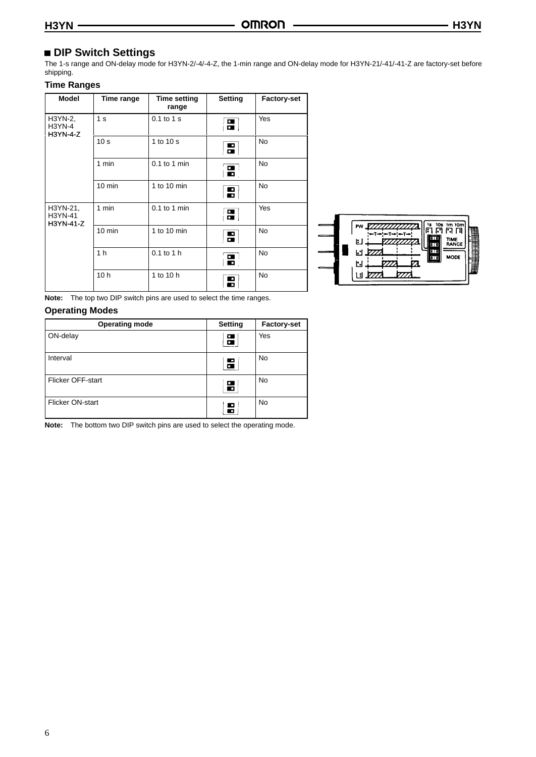## **DIP Switch Settings**

The 1-s range and ON-delay mode for H3YN-2/-4/-4-Z, the 1-min range and ON-delay mode for H3YN-21/-41/-41-Z are factory-set before shipping.

### **Time Ranges**

| <b>Model</b>                           | Time range       | <b>Time setting</b><br>range | Setting                  | <b>Factory-set</b> |
|----------------------------------------|------------------|------------------------------|--------------------------|--------------------|
| H3YN-2,<br><b>H3YN-4</b><br>$H3YN-4-Z$ | 1 <sub>s</sub>   | $0.1$ to $1$ s               | 5                        | Yes                |
|                                        | 10 <sub>s</sub>  | 1 to 10 s                    | $\overline{\phantom{a}}$ | <b>No</b>          |
|                                        | 1 min            | $0.1$ to 1 min               | $\mathbf{E}$             | <b>No</b>          |
|                                        | $10 \text{ min}$ | 1 to 10 min                  | $\mathbf{r}$             | <b>No</b>          |
| H3YN-21,<br>H3YN-41<br>H3YN-41-Z       | 1 min            | $0.1$ to 1 min               | $\overline{\mathbf{a}}$  | Yes                |
|                                        | $10 \text{ min}$ | 1 to 10 min                  | Н                        | <b>No</b>          |
|                                        | 1 <sub>h</sub>   | $0.1$ to 1 h                 | $\blacksquare$           | <b>No</b>          |
|                                        | 10 <sub>h</sub>  | 1 to 10 h                    | E                        | <b>No</b>          |



**Note:** The top two DIP switch pins are used to select the time ranges.

### **Operating Modes**

| <b>Operating mode</b>    | Setting              | <b>Factory-set</b> |
|--------------------------|----------------------|--------------------|
| ON-delay                 | α.<br>$\blacksquare$ | Yes                |
| Interval                 | 5                    | No                 |
| <b>Flicker OFF-start</b> | $\Box$<br>Ю          | No                 |
| Flicker ON-start         | o<br>П               | <b>No</b>          |

**Note:** The bottom two DIP switch pins are used to select the operating mode.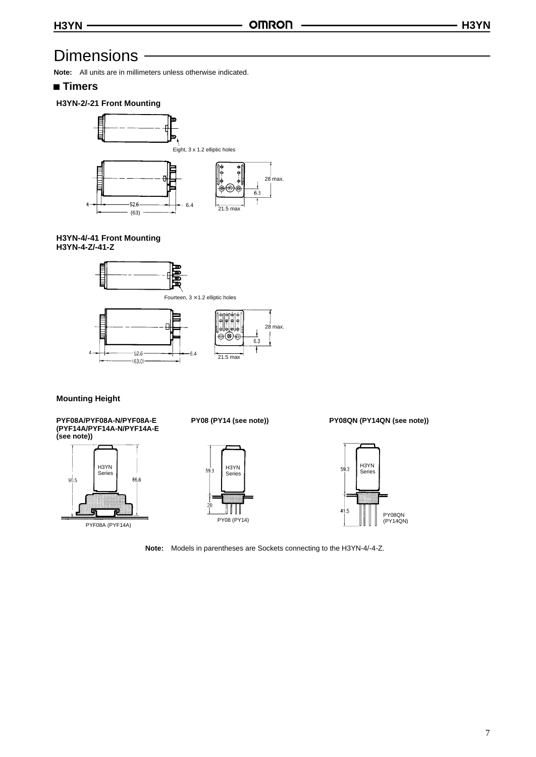# **Dimensions**

**Note:** All units are in millimeters unless otherwise indicated.

### **Timers**

### **H3YN-2/-21 Front Mounting**



#### **H3YN-4/-41 Front Mounting H3YN-4-Z/-41-Z**



### **Mounting Height**

**PYF08A/PYF08A-N/PYF08A-E (PYF14A/PYF14A-N/PYF14A-E (see note))**





**PY08 (PY14 (see note)) PY08QN (PY14QN (see note))**



**Note:** Models in parentheses are Sockets connecting to the H3YN-4/-4-Z.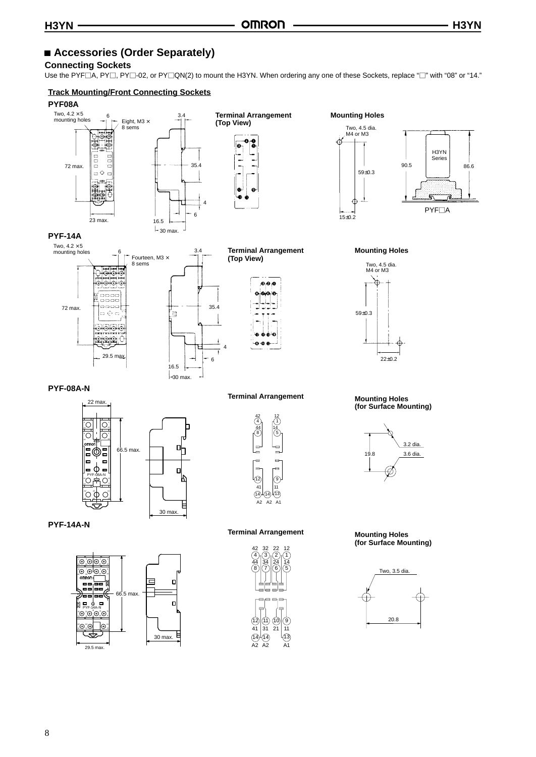## **Accessories (Order Separately)**

#### **Connecting Sockets**

Use the PYF $\Box$ A, PY $\Box$ , PY $\Box$ -02, or PY $\Box$ QN(2) to mount the H3YN. When ordering any one of these Sockets, replace " $\Box$ " with "08" or "14."

#### **Track Mounting/Front Connecting Sockets**

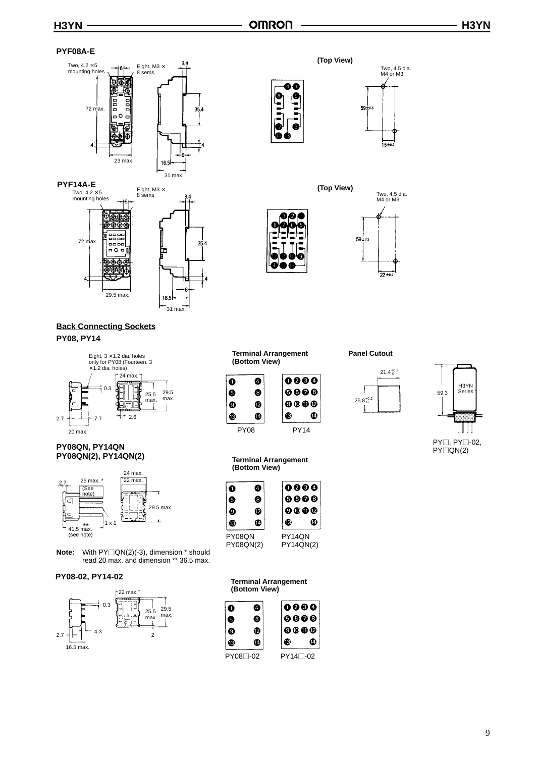#### **PYF08A-E**







### **Back Connecting Sockets PY08, PY14**



#### **PY08QN, PY14QN PY08QN(2), PY14QN(2)**



**Note:** With PY□QN(2)(-3), dimension \* should read 20 max. and dimension \*\* 36.5 max.

#### **PY08-02, PY14-02**











#### **Terminal Arrangement (Bottom View)**

G



## **Panel Cutout**





 $PY\Box, PY\Box$ -02, PY□QN(2)

| PY08                                         | <b>PY14</b> |
|----------------------------------------------|-------------|
| <b>Terminal Arrangement</b><br>(Bottom View) |             |
|                                              |             |

|           | Ø | 0000                                                                                               |  |
|-----------|---|----------------------------------------------------------------------------------------------------|--|
| 5         | G | 0000                                                                                               |  |
| 9         | ℗ | $\begin{smallmatrix}\mathbf{\Theta}\mathbf{\Theta}\mathbf{\Theta}\mathbf{\Theta}\end{smallmatrix}$ |  |
| ß         | 凾 | œ                                                                                                  |  |
| PY08QN    |   | PY14QN                                                                                             |  |
| PY08QN(2) |   | PY14QN(2)                                                                                          |  |

#### **Terminal Arrangement (Bottom View)**

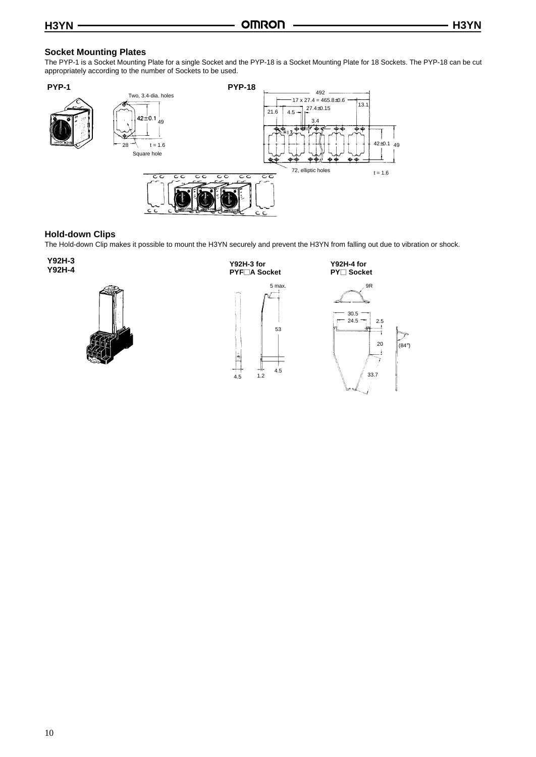### **Socket Mounting Plates**

The PYP-1 is a Socket Mounting Plate for a single Socket and the PYP-18 is a Socket Mounting Plate for 18 Sockets. The PYP-18 can be cut appropriately according to the number of Sockets to be used.



#### **Hold-down Clips**

The Hold-down Clip makes it possible to mount the H3YN securely and prevent the H3YN from falling out due to vibration or shock.

**Y92H-3 Y92H-4**



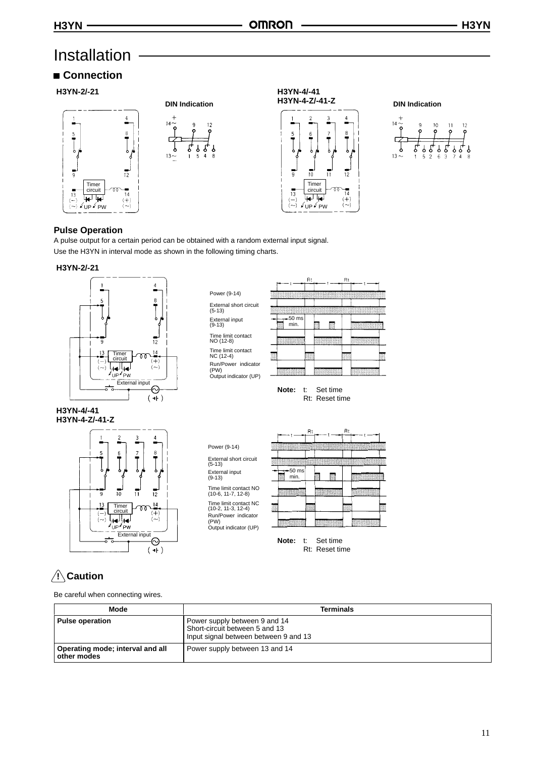# Installation

# **Connection**











### **Pulse Operation**

A pulse output for a certain period can be obtained with a random external input signal. Use the H3YN in interval mode as shown in the following timing charts.

#### **H3YN-2/-21**



Power (9-14) External short circuit (5-13) External input (9-13) Time limit contact NO (12-8) Time limit contact NC (12-4) Run/Power indicator (PW) Output indicator (UP)



**Note:** t: Set time Rt: Reset time

#### **H3YN-4/-41 H3YN-4-Z/-41-Z**



Power (9-14) External short circuit (5-13) External input (9-13) Time limit contact NO (10-6, 11-7, 12-8) Time limit contact NC (10-2, 11-3, 12-4) Run/Power indicator (PW) Output indicator (UP)



**Note:** t: Set time Rt: Reset time

# **! Caution**

Be careful when connecting wires.

| Mode                                            | <b>Terminals</b>                                                                                         |
|-------------------------------------------------|----------------------------------------------------------------------------------------------------------|
| <b>Pulse operation</b>                          | Power supply between 9 and 14<br>Short-circuit between 5 and 13<br>Input signal between between 9 and 13 |
| Operating mode, interval and all<br>other modes | Power supply between 13 and 14                                                                           |